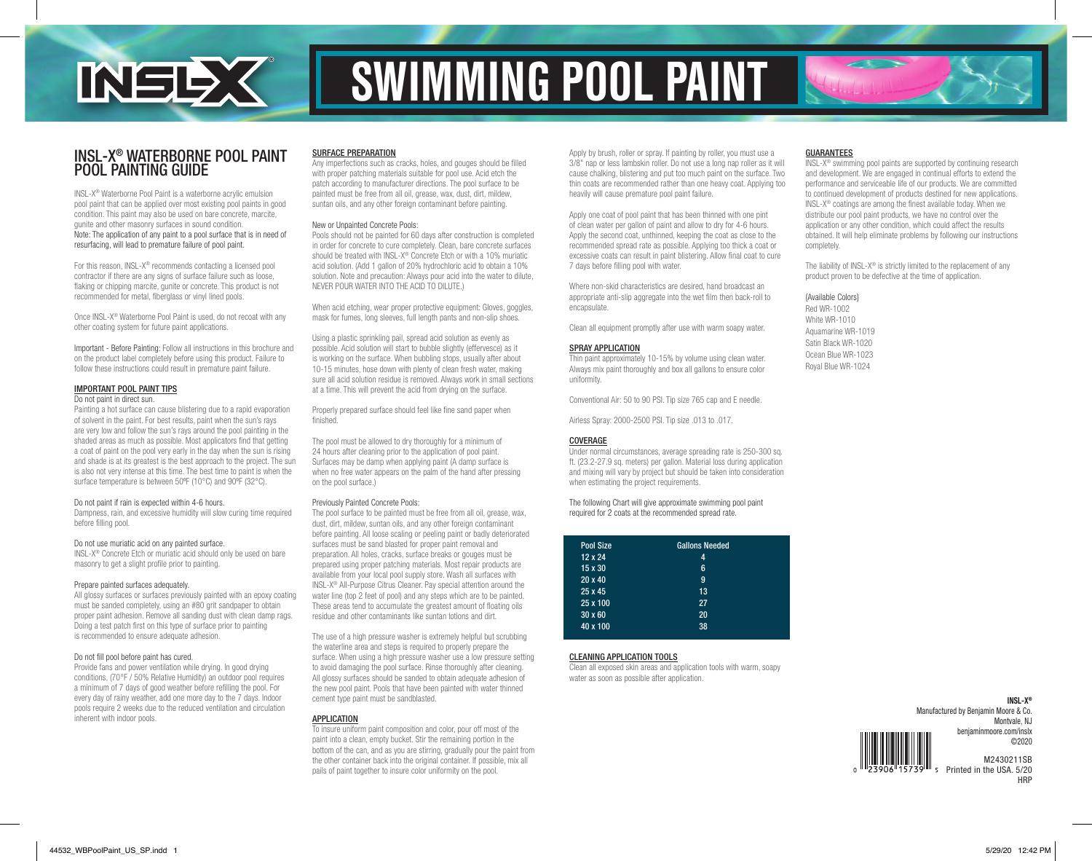

# SWIMMING POOL PAINT

## INSL-X® WATERBORNE POOL PAINT POOL PAINTING GUIDE

INSL-X® Waterborne Pool Paint is a waterborne acrylic emulsion pool paint that can be applied over most existing pool paints in good condition. This paint may also be used on bare concrete, marcite, gunite and other masonry surfaces in sound condition. Note: The application of any paint to a pool surface that is in need of resurfacing, will lead to premature failure of pool paint.

For this reason, INSL-X® recommends contacting a licensed pool contractor if there are any signs of surface failure such as loose. flaking or chipping marcite, gunite or concrete. This product is not recommended for metal, fiberglass or vinyl lined pools.

Once INSL-X® Waterborne Pool Paint is used, do not recoat with any other coating system for future paint applications.

Important - Before Painting: Follow all instructions in this brochure and on the product label completely before using this product. Failure to follow these instructions could result in premature paint failure.

#### IMPORTANT POOL PAINT TIPS Do not paint in direct sun.

Painting a hot surface can cause blistering due to a rapid evaporation of solvent in the paint. For best results, paint when the sun's rays are very low and follow the sun's rays around the pool painting in the shaded areas as much as possible. Most applicators find that getting a coat of paint on the pool very early in the day when the sun is rising and shade is at its greatest is the best approach to the project. The sun is also not very intense at this time. The best time to paint is when the surface temperature is between 50ºF (10°C) and 90ºF (32°C).

### Do not paint if rain is expected within 4-6 hours.

Dampness, rain, and excessive humidity will slow curing time required before filling pool.

### Do not use muriatic acid on any painted surface.

INSL-X® Concrete Etch or muriatic acid should only be used on bare masonry to get a slight profile prior to painting.

### Prepare painted surfaces adequately.

All glossy surfaces or surfaces previously painted with an epoxy coating must be sanded completely, using an #80 grit sandpaper to obtain proper paint adhesion. Remove all sanding dust with clean damp rags. Doing a test patch first on this type of surface prior to painting is recommended to ensure adequate adhesion.

### Do not fill pool before paint has cured.

Provide fans and power ventilation while drying. In good drying conditions, (70°F / 50% Relative Humidity) an outdoor pool requires a minimum of 7 days of good weather before refilling the pool. For every day of rainy weather, add one more day to the 7 days. Indoor pools require 2 weeks due to the reduced ventilation and circulation inherent with indoor pools.

### SURFACE PREPARATION

Any imperfections such as cracks, holes, and gouges should be filled with proper patching materials suitable for pool use. Acid etch the patch according to manufacturer directions. The pool surface to be painted must be free from all oil, grease, wax, dust, dirt, mildew, suntan oils, and any other foreign contaminant before painting.

### New or Unpainted Concrete Pools:

Pools should not be painted for 60 days after construction is completed in order for concrete to cure completely. Clean, bare concrete surfaces should be treated with INSL-X® Concrete Etch or with a 10% muriatic acid solution. (Add 1 gallon of 20% hydrochloric acid to obtain a 10% solution. Note and precaution: Always pour acid into the water to dilute, NEVER POUR WATER INTO THE ACID TO DILUTE.)

When acid etching, wear proper protective equipment: Gloves, goggles, mask for fumes, long sleeves, full length pants and non-slip shoes.

Using a plastic sprinkling pail, spread acid solution as evenly as possible. Acid solution will start to bubble slightly (effervesce) as it is working on the surface. When bubbling stops, usually after about 10-15 minutes, hose down with plenty of clean fresh water, making sure all acid solution residue is removed. Always work in small sections at a time. This will prevent the acid from drying on the surface.

Properly prepared surface should feel like fine sand paper when finished.

The pool must be allowed to dry thoroughly for a minimum of 24 hours after cleaning prior to the application of pool paint. Surfaces may be damp when applying paint (A damp surface is when no free water appears on the palm of the hand after pressing on the pool surface.)

### Previously Painted Concrete Pools:

The pool surface to be painted must be free from all oil, grease, wax, dust, dirt, mildew, suntan oils, and any other foreign contaminant before painting. All loose scaling or peeling paint or badly deteriorated surfaces must be sand blasted for proper paint removal and preparation. All holes, cracks, surface breaks or gouges must be prepared using proper patching materials. Most repair products are available from your local pool supply store. Wash all surfaces with INSL-X® All-Purpose Citrus Cleaner. Pay special attention around the water line (top 2 feet of pool) and any steps which are to be painted. These areas tend to accumulate the greatest amount of floating oils residue and other contaminants like suntan lotions and dirt.

The use of a high pressure washer is extremely helpful but scrubbing the waterline area and steps is required to properly prepare the surface. When using a high pressure washer use a low pressure setting to avoid damaging the pool surface. Rinse thoroughly after cleaning. All glossy surfaces should be sanded to obtain adequate adhesion of the new pool paint. Pools that have been painted with water thinned cement type paint must be sandblasted.

### APPLICATION

To insure uniform paint composition and color, pour off most of the paint into a clean, empty bucket. Stir the remaining portion in the bottom of the can, and as you are stirring, gradually pour the paint from the other container back into the original container. If possible, mix all pails of paint together to insure color uniformity on the pool.

Apply by brush, roller or spray. If painting by roller, you must use a 3/8" nap or less lambskin roller. Do not use a long nap roller as it will cause chalking, blistering and put too much paint on the surface. Two thin coats are recommended rather than one heavy coat. Applying too heavily will cause premature pool paint failure.

Apply one coat of pool paint that has been thinned with one pint of clean water per gallon of paint and allow to dry for 4-6 hours. Apply the second coat, unthinned, keeping the coat as close to the recommended spread rate as possible. Applying too thick a coat or excessive coats can result in paint blistering. Allow final coat to cure 7 days before filling pool with water.

Where non-skid characteristics are desired, hand broadcast an appropriate anti-slip aggregate into the wet film then back-roll to encapsulate.

Clean all equipment promptly after use with warm soapy water.

### SPRAY APPLICATION

Thin paint approximately 10-15% by volume using clean water. Always mix paint thoroughly and box all gallons to ensure color uniformity.

Conventional Air: 50 to 90 PSI. Tip size 765 cap and E needle.

Airless Spray: 2000-2500 PSI. Tip size .013 to .017.

### COVERAGE

Under normal circumstances, average spreading rate is 250-300 sq. ft. (23.2-27.9 sq. meters) per gallon. Material loss during application and mixing will vary by project but should be taken into consideration when estimating the project requirements.

The following Chart will give approximate swimming pool paint required for 2 coats at the recommended spread rate.

| Pool Size      | <b>Gallons Needed</b> |  |
|----------------|-----------------------|--|
| $12 \times 24$ | 4                     |  |
| $15 \times 30$ | 6                     |  |
| $20 \times 40$ | 9                     |  |
| 25 x 45        | 13                    |  |
| 25 x 100       | 27                    |  |
| $30 \times 60$ | 20                    |  |
| 40 x 100       | 38                    |  |

### CLEANING APPLICATION TOOLS

Clean all exposed skin areas and application tools with warm, soapy water as soon as possible after application.

### GUARANTEES

INSL-X® swimming pool paints are supported by continuing research and development. We are engaged in continual efforts to extend the performance and serviceable life of our products. We are committed to continued development of products destined for new applications. INSL-X® coatings are among the finest available today. When we distribute our pool paint products, we have no control over the application or any other condition, which could affect the results obtained. It will help eliminate problems by following our instructions completely.

The liability of INSL-X<sup>®</sup> is strictly limited to the replacement of any product proven to be defective at the time of application.

### {Available Colors}

Red WR-1002 White WR-1010 Aquamarine WR-1019 Satin Black WR-1020 Ocean Blue WR-1023 Royal Blue WR-1024

> **INSL-X®** Manufactured by Benjamin Moore & Co. Montvale, NJ benjaminmoore.com/inslx ©2020 M2430211SB

Printed in the USA. 5/20 **HRP**